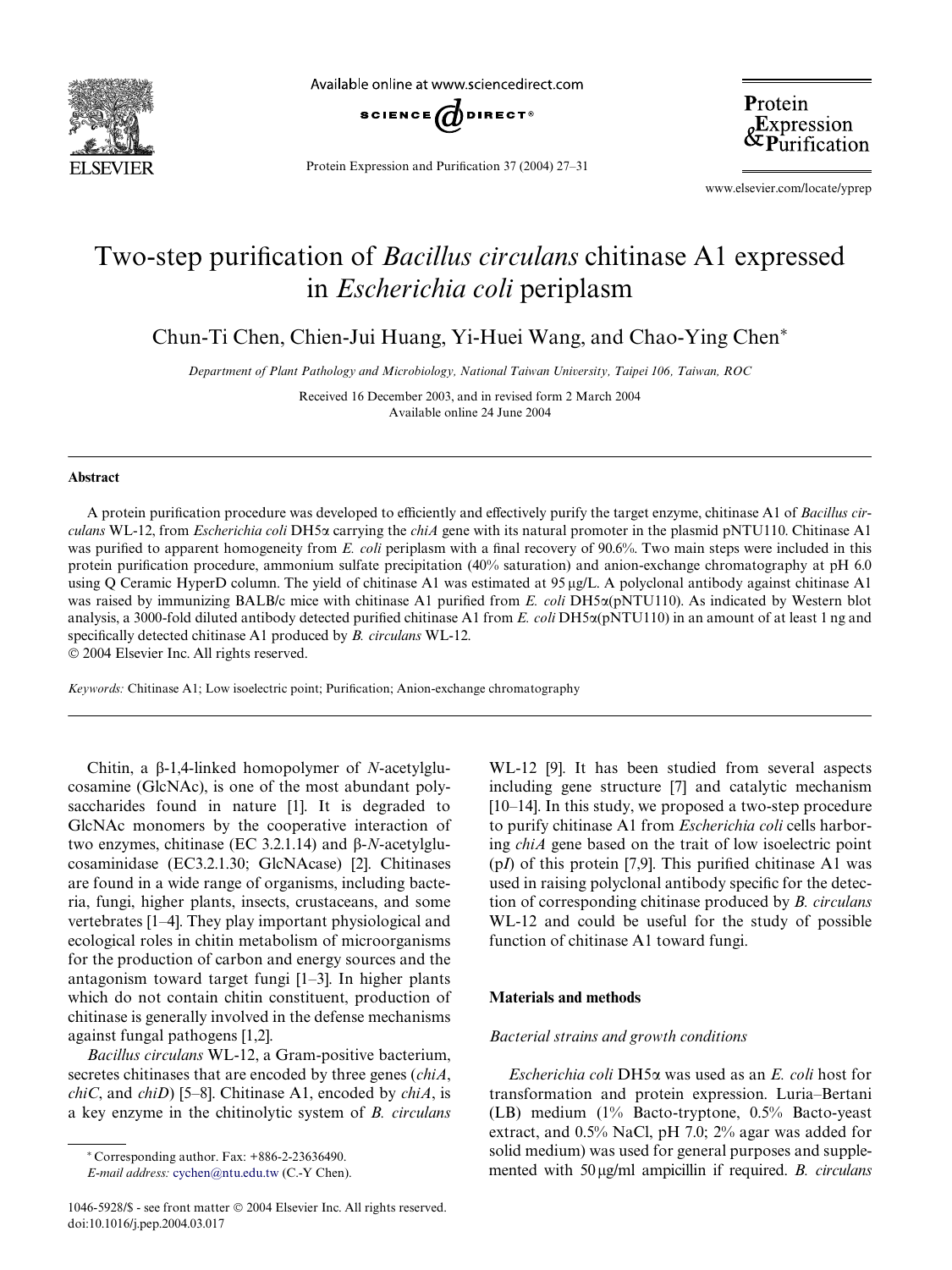

Available online at www.sciencedirect.com



Protein Expression and Purification 37 (2004) 27–31

Protein &Expression<br>&Purification

www.elsevier.com/locate/yprep

# Two-step purification of *Bacillus circulans* chitinase A1 expressed in *Escherichia coli* periplasm

Chun-Ti Chen, Chien-Jui Huang, Yi-Huei Wang, and Chao-Ying Chen<sup>\*</sup>

*Department of Plant Pathology and Microbiology, National Taiwan University, Taipei 106, Taiwan, ROC*

Received 16 December 2003, and in revised form 2 March 2004 Available online 24 June 2004

#### **Abstract**

A protein purification procedure was developed to efficiently and effectively purify the target enzyme, chitinase A1 of *Bacillus circulans* WL-12, from *Escherichia coli* DH5 $\alpha$  carrying the *chiA* gene with its natural promoter in the plasmid pNTU110. Chitinase A1 was purified to apparent homogeneity from *E. coli* periplasm with a final recovery of 90.6%. Two main steps were included in this protein purification procedure, ammonium sulfate precipitation (40% saturation) and anion-exchange chromatography at pH 6.0 using Q Ceramic HyperD column. The yield of chitinase A1 was estimated at 95 µg/L. A polyclonal antibody against chitinase A1 was raised by immunizing BALB/c mice with chitinase A1 purified from *E. coli* DH5 $\alpha$ (pNTU110). As indicated by Western blot analysis, a 3000-fold diluted antibody detected purified chitinase A1 from *E. coli* DH5 $\alpha$ (pNTU110) in an amount of at least 1 ng and specifically detected chitinase A1 produced by *B. circulans* WL-12.

2004 Elsevier Inc. All rights reserved.

*Keywords:* Chitinase A1; Low isoelectric point; Purification; Anion-exchange chromatography

Chitin, a  $\beta$ -1,4-linked homopolymer of *N*-acetylglucosamine (GlcNAc), is one of the most abundant polysaccharides found in nature [1]. It is degraded to GlcNAc monomers by the cooperative interaction of two enzymes, chitinase (EC 3.2.1.14) and  $\beta$ -*N*-acetylglucosaminidase (EC3.2.1.30; GlcNAcase) [2]. Chitinases are found in a wide range of organisms, including bacteria, fungi, higher plants, insects, crustaceans, and some vertebrates [1–4]. They play important physiological and ecological roles in chitin metabolism of microorganisms for the production of carbon and energy sources and the antagonism toward target fungi [1–3]. In higher plants which do not contain chitin constituent, production of chitinase is generally involved in the defense mechanisms against fungal pathogens [1,2].

*Bacillus circulans* WL-12, a Gram-positive bacterium, secretes chitinases that are encoded by three genes (*chiA*, *chiC*, and *chiD*) [5–8]. Chitinase A1, encoded by *chiA*, is a key enzyme in the chitinolytic system of *B. circulans*

 $*$  Corresponding author. Fax:  $+886-2-23636490$ .

*E-mail address:* [cychen@ntu.edu.tw](mail to : cychen@ntu.edu.tw) (C.-Y Chen).

1046-5928/\$ - see front matter 2004 Elsevier Inc. All rights reserved. doi:10.1016/j.pep.2004.03.017

WL-12 [9]. It has been studied from several aspects including gene structure [7] and catalytic mechanism [10–14]. In this study, we proposed a two-step procedure to purify chitinase A1 from *Escherichia coli* cells harboring *chiA* gene based on the trait of low isoelectric point  $(pI)$  of this protein [7,9]. This purified chitinase A1 was used in raising polyclonal antibody specific for the detection of corresponding chitinase produced by *B. circulans* WL-12 and could be useful for the study of possible function of chitinase A1 toward fungi.

#### **Materials and methods**

## *Bacterial strains and growth conditions*

*Escherichia coli* DH5α was used as an *E. coli* host for transformation and protein expression. Luria–Bertani (LB) medium (1% Bacto-tryptone, 0.5% Bacto-yeast extract, and 0.5% NaCl, pH 7.0; 2% agar was added for solid medium) was used for general purposes and supplemented with 50 µg/ml ampicillin if required. *B. circulans*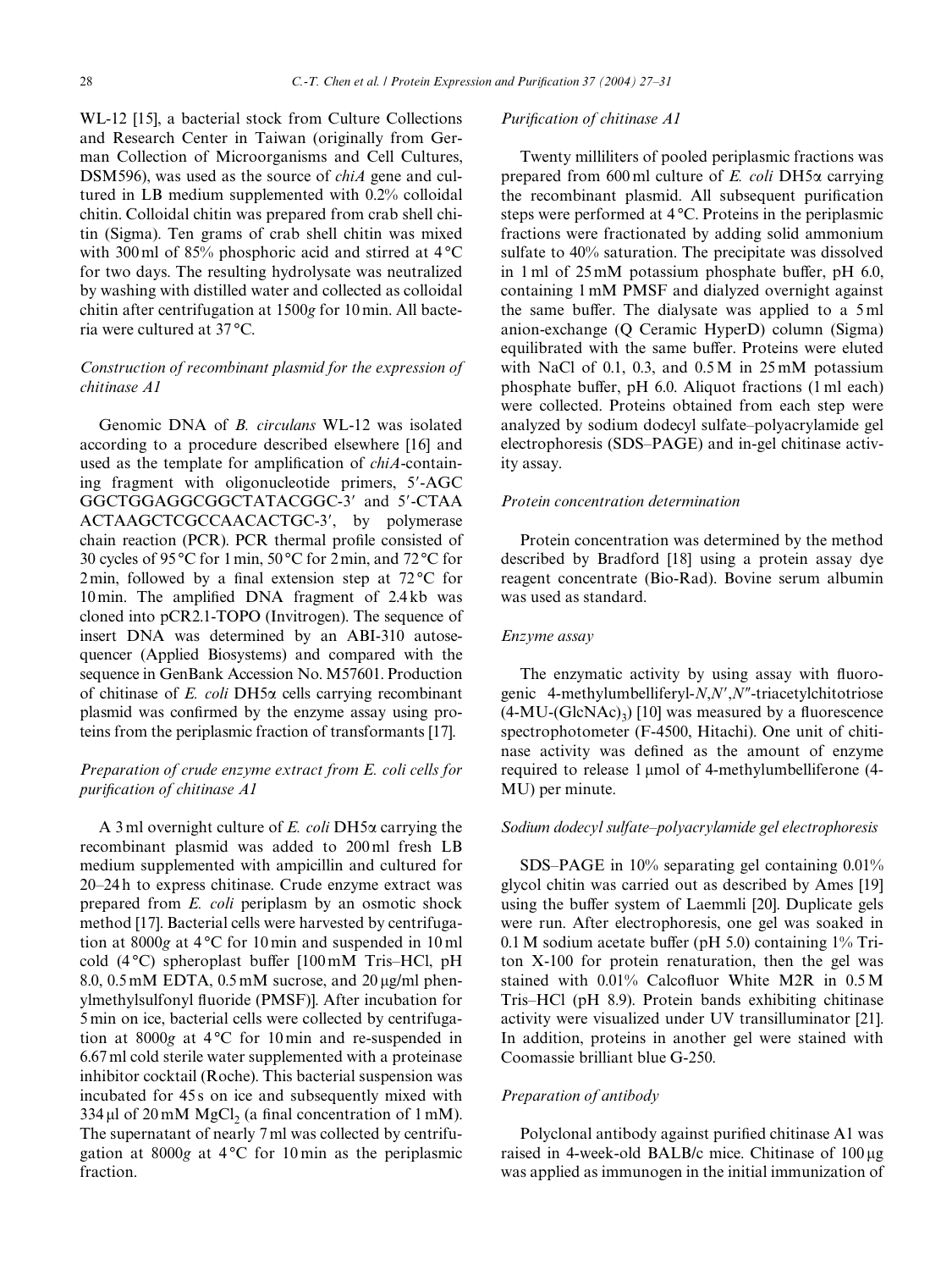WL-12 [15], a bacterial stock from Culture Collections and Research Center in Taiwan (originally from German Collection of Microorganisms and Cell Cultures, DSM596), was used as the source of *chiA* gene and cultured in LB medium supplemented with 0.2% colloidal chitin. Colloidal chitin was prepared from crab shell chitin (Sigma). Ten grams of crab shell chitin was mixed with 300 ml of 85% phosphoric acid and stirred at 4 °C for two days. The resulting hydrolysate was neutralized by washing with distilled water and collected as colloidal chitin after centrifugation at 1500*g* for 10 min. All bacteria were cultured at 37 °C.

## *Construction of recombinant plasmid for the expression of chitinase A1*

Genomic DNA of *B. circulans* WL-12 was isolated according to a procedure described elsewhere [16] and used as the template for amplification of *chiA*-containing fragment with oligonucleotide primers, 5-AGC GGCTGGAGGCGGCTATACGGC-3' and 5'-CTAA ACTAAGCTCGCCAACACTGC-3, by polymerase chain reaction (PCR). PCR thermal profile consisted of 30 cycles of 95 °C for 1 min, 50 °C for 2 min, and 72°C for 2 min, followed by a final extension step at  $72^{\circ}$ C for 10 min. The amplified DNA fragment of  $2.4 \text{ kb}$  was cloned into pCR2.1-TOPO (Invitrogen). The sequence of insert DNA was determined by an ABI-310 autosequencer (Applied Biosystems) and compared with the sequence in GenBank Accession No. M57601. Production of chitinase of *E. coli* DH5 $\alpha$  cells carrying recombinant plasmid was confirmed by the enzyme assay using proteins from the periplasmic fraction of transformants [17].

# *Preparation of crude enzyme extract from E. coli cells for purification of chitinase A1*

A 3 ml overnight culture of  $E$ . *coli* DH5 $\alpha$  carrying the recombinant plasmid was added to 200 ml fresh LB medium supplemented with ampicillin and cultured for 20–24 h to express chitinase. Crude enzyme extract was prepared from *E. coli* periplasm by an osmotic shock method [17]. Bacterial cells were harvested by centrifugation at 8000*g* at 4 °C for 10 min and suspended in 10 ml cold  $(4^{\circ}C)$  spheroplast buffer  $[100 \text{ mM}$  Tris–HCl, pH  $8.0, 0.5 \text{ mM}$  EDTA,  $0.5 \text{ mM}$  sucrose, and  $20 \mu\text{g/ml}$  phenylmethylsulfonyl fluoride (PMSF)]. After incubation for 5 min on ice, bacterial cells were collected by centrifugation at 8000*g* at 4 °C for 10 min and re-suspended in 6.67 ml cold sterile water supplemented with a proteinase inhibitor cocktail (Roche). This bacterial suspension was incubated for 45 s on ice and subsequently mixed with  $334 \,\mu$ l of 20 mM MgCl<sub>2</sub> (a final concentration of 1 mM). The supernatant of nearly 7 ml was collected by centrifugation at 8000*g* at 4 °C for 10 min as the periplasmic fraction.

#### *Purification of chitinase A1*

Twenty milliliters of pooled periplasmic fractions was prepared from  $600$  ml culture of *E. coli* DH5 $\alpha$  carrying the recombinant plasmid. All subsequent purification steps were performed at 4 °C. Proteins in the periplasmic fractions were fractionated by adding solid ammonium sulfate to 40% saturation. The precipitate was dissolved in 1 ml of  $25 \text{mM}$  potassium phosphate buffer, pH 6.0, containing 1 mM PMSF and dialyzed overnight against the same buffer. The dialysate was applied to a  $5 \text{ ml}$ anion-exchange (Q Ceramic HyperD) column (Sigma) equilibrated with the same buffer. Proteins were eluted with NaCl of 0.1, 0.3, and 0.5 M in 25 mM potassium phosphate buffer, pH  $6.0$ . Aliquot fractions (1 ml each) were collected. Proteins obtained from each step were analyzed by sodium dodecyl sulfate–polyacrylamide gel electrophoresis (SDS–PAGE) and in-gel chitinase activity assay.

### *Protein concentration determination*

Protein concentration was determined by the method described by Bradford [18] using a protein assay dye reagent concentrate (Bio-Rad). Bovine serum albumin was used as standard.

#### *Enzyme assay*

The enzymatic activity by using assay with fluorogenic 4-methylumbelliferyl-*N*,*N*,*N*--triacetylchitotriose  $(4-MU-GlcNAc)$ <sup>2</sup> [10] was measured by a fluorescence spectrophotometer (F-4500, Hitachi). One unit of chitinase activity was defined as the amount of enzyme required to release  $1 \mu$ mol of 4-methylumbelliferone (4-MU) per minute.

### *Sodium dodecyl sulfate–polyacrylamide gel electrophoresis*

SDS–PAGE in 10% separating gel containing 0.01% glycol chitin was carried out as described by Ames [19] using the buffer system of Laemmli [20]. Duplicate gels were run. After electrophoresis, one gel was soaked in  $0.1$  M sodium acetate buffer (pH 5.0) containing  $1\%$  Triton X-100 for protein renaturation, then the gel was stained with  $0.01\%$  Calcofluor White M2R in  $0.5 M$ Tris–HCl (pH 8.9). Protein bands exhibiting chitinase activity were visualized under UV transilluminator [21]. In addition, proteins in another gel were stained with Coomassie brilliant blue G-250.

## *Preparation of antibody*

Polyclonal antibody against purified chitinase A1 was raised in 4-week-old BALB/c mice. Chitinase of  $100 \mu$ g was applied as immunogen in the initial immunization of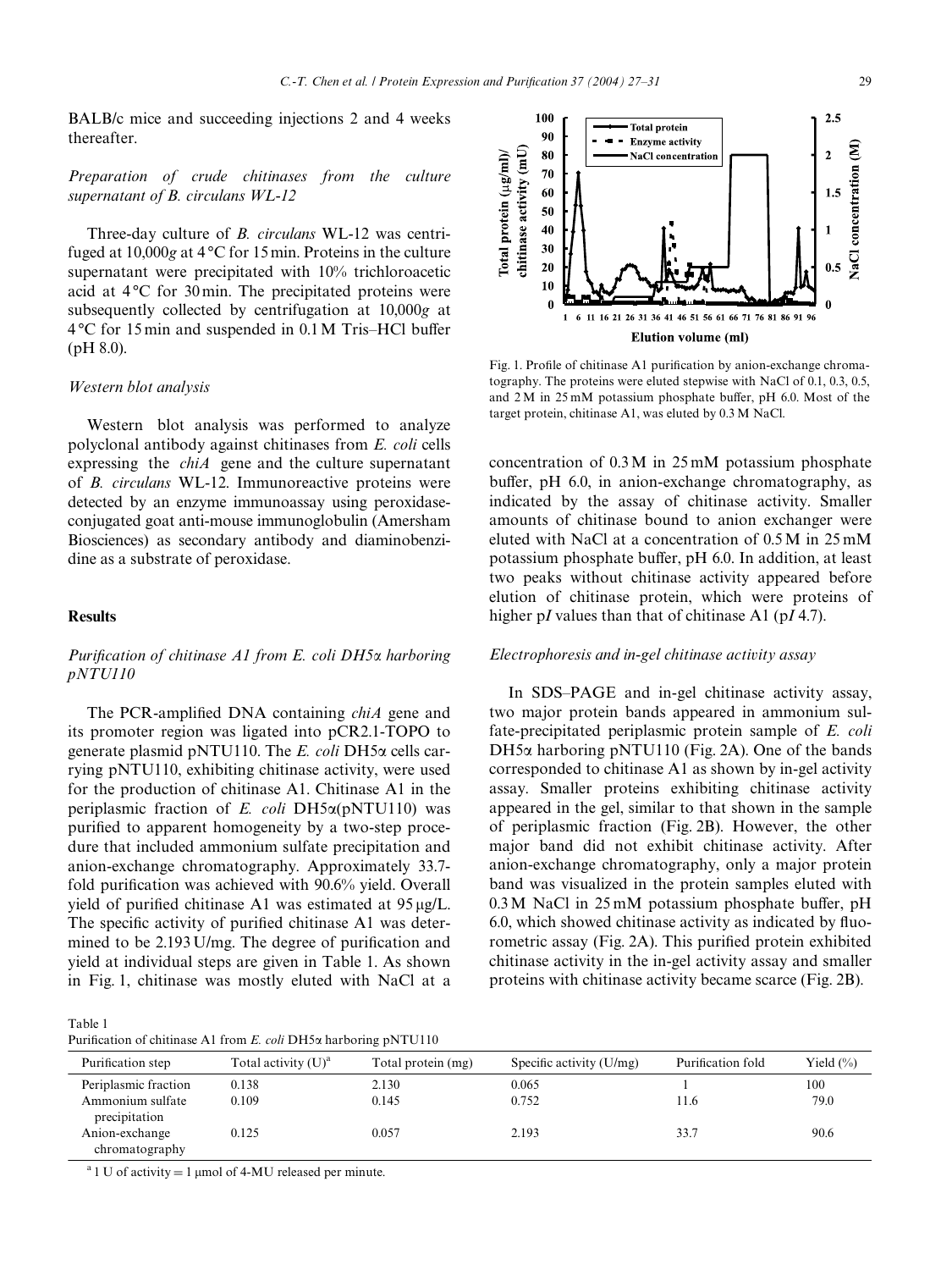Purification step Total activity (U)<sup>a</sup> Total protein (mg) Specific activity (U/mg) Purification fold Yield (%) Periplasmic fraction 0.138 2.130 0.065 1 100

0.109 0.145 0.752 11.6 79.0

0.125 0.057 2.193 33.7 90.6

BALB/c mice and succeeding injections 2 and 4 weeks thereafter.

*Preparation of crude chitinases from the culture supernatant of B. circulans WL-12*

Three-day culture of *B. circulans* WL-12 was centrifuged at 10,000g at 4 °C for 15 min. Proteins in the culture supernatant were precipitated with 10% trichloroacetic acid at 4 °C for 30 min. The precipitated proteins were subsequently collected by centrifugation at 10,000*g* at  $4^{\circ}$ C for 15 min and suspended in 0.1 M Tris–HCl buffer (pH 8.0).

#### *Western blot analysis*

Western blot analysis was performed to analyze polyclonal antibody against chitinases from *E. coli* cells expressing the *chiA* gene and the culture supernatant of *B. circulans* WL-12. Immunoreactive proteins were detected by an enzyme immunoassay using peroxidaseconjugated goat anti-mouse immunoglobulin (Amersham Biosciences) as secondary antibody and diaminobenzidine as a substrate of peroxidase.

#### **Results**

# *Purification of chitinase A1 from E. coli DH5* $\alpha$  *harboring pNTU110*

The PCR-amplified DNA containing *chiA* gene and its promoter region was ligated into pCR2.1-TOPO to generate plasmid pNTU110. The *E. coli* DH5 $\alpha$  cells carrying pNTU110, exhibiting chitinase activity, were used for the production of chitinase A1. Chitinase A1 in the periplasmic fraction of *E. coli* DH5 $\alpha$ (pNTU110) was purified to apparent homogeneity by a two-step procedure that included ammonium sulfate precipitation and anion-exchange chromatography. Approximately 33.7 fold purification was achieved with 90.6% yield. Overall yield of purified chitinase A1 was estimated at  $95 \mu g/L$ . The specific activity of purified chitinase A1 was determined to be  $2.193$  U/mg. The degree of purification and yield at individual steps are given in Table 1. As shown in Fig. 1, chitinase was mostly eluted with NaCl at a

Table 1 Purification of chitinase A1 from *E. coli* DH5 $\alpha$  harboring pNTU110

Ammonium sulfate precipitation

Anion-exchange chromatography

<sup>a</sup> 1 U of activity = 1  $\mu$ mol of 4-MU released per minute.

Fig. 1. Profile of chitinase A1 purification by anion-exchange chromatography. The proteins were eluted stepwise with NaCl of 0.1, 0.3, 0.5, and  $2 M$  in  $25$  mM potassium phosphate buffer, pH 6.0. Most of the target protein, chitinase A1, was eluted by 0.3 M NaCl.

concentration of 0.3 M in 25 mM potassium phosphate buffer, pH  $6.0$ , in anion-exchange chromatography, as indicated by the assay of chitinase activity. Smaller amounts of chitinase bound to anion exchanger were eluted with NaCl at a concentration of 0.5 M in 25 mM potassium phosphate buffer, pH 6.0. In addition, at least two peaks without chitinase activity appeared before elution of chitinase protein, which were proteins of higher p*I* values than that of chitinase A1 (p*I* 4.7).

#### *Electrophoresis and in-gel chitinase activity assay*

In SDS–PAGE and in-gel chitinase activity assay, two major protein bands appeared in ammonium sulfate-precipitated periplasmic protein sample of *E. coli* DH5 $\alpha$  harboring pNTU110 (Fig. 2A). One of the bands corresponded to chitinase A1 as shown by in-gel activity assay. Smaller proteins exhibiting chitinase activity appeared in the gel, similar to that shown in the sample of periplasmic fraction (Fig. 2B). However, the other major band did not exhibit chitinase activity. After anion-exchange chromatography, only a major protein band was visualized in the protein samples eluted with  $0.3 M$  NaCl in  $25$  mM potassium phosphate buffer, pH 6.0, which showed chitinase activity as indicated by fluorometric assay (Fig. 2A). This purified protein exhibited chitinase activity in the in-gel activity assay and smaller proteins with chitinase activity became scarce (Fig. 2B).

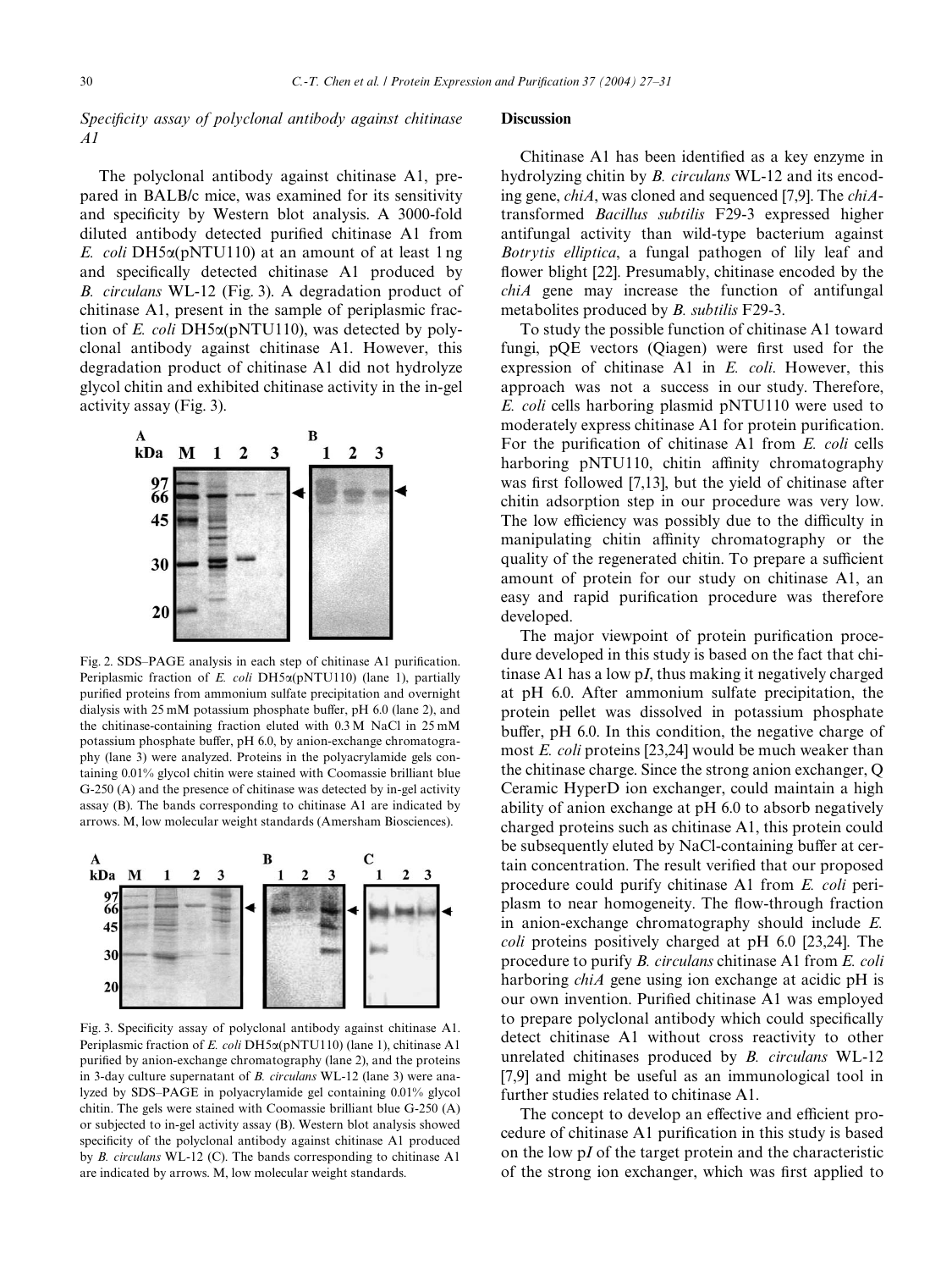## *Specificity assay of polyclonal antibody against chitinase A1*

The polyclonal antibody against chitinase A1, prepared in BALB/c mice, was examined for its sensitivity and specificity by Western blot analysis. A 3000-fold diluted antibody detected purified chitinase A1 from *E. coli* DH5α(pNTU110) at an amount of at least 1 ng and specifically detected chitinase A1 produced by *B. circulans* WL-12 (Fig. 3). A degradation product of chitinase A1, present in the sample of periplasmic fraction of *E. coli* DH5 $\alpha$ (pNTU110), was detected by polyclonal antibody against chitinase A1. However, this degradation product of chitinase A1 did not hydrolyze glycol chitin and exhibited chitinase activity in the in-gel activity assay (Fig. 3).



Fig. 2. SDS-PAGE analysis in each step of chitinase A1 purification. Periplasmic fraction of *E. coli* DH5 $\alpha$ (pNTU110) (lane 1), partially purified proteins from ammonium sulfate precipitation and overnight dialysis with  $25 \text{ mM}$  potassium phosphate buffer, pH 6.0 (lane 2), and the chitinase-containing fraction eluted with 0.3 M NaCl in 25 mM potassium phosphate buffer,  $pH$  6.0, by anion-exchange chromatography (lane 3) were analyzed. Proteins in the polyacrylamide gels containing 0.01% glycol chitin were stained with Coomassie brilliant blue G-250 (A) and the presence of chitinase was detected by in-gel activity assay (B). The bands corresponding to chitinase A1 are indicated by arrows. M, low molecular weight standards (Amersham Biosciences).



Fig. 3. Specificity assay of polyclonal antibody against chitinase A1. Periplasmic fraction of *E. coli* DH5α(pNTU110) (lane 1), chitinase A1 purified by anion-exchange chromatography (lane 2), and the proteins in 3-day culture supernatant of *B. circulans* WL-12 (lane 3) were analyzed by SDS–PAGE in polyacrylamide gel containing 0.01% glycol chitin. The gels were stained with Coomassie brilliant blue G-250 (A) or subjected to in-gel activity assay (B). Western blot analysis showed specificity of the polyclonal antibody against chitinase A1 produced by *B. circulans* WL-12 (C). The bands corresponding to chitinase A1 are indicated by arrows. M, low molecular weight standards.

#### **Discussion**

Chitinase A1 has been identified as a key enzyme in hydrolyzing chitin by *B. circulans* WL-12 and its encoding gene, *chiA*, was cloned and sequenced [7,9]. The *chiA*transformed *Bacillus subtilis* F29-3 expressed higher antifungal activity than wild-type bacterium against *Botrytis elliptica*, a fungal pathogen of lily leaf and flower blight [22]. Presumably, chitinase encoded by the *chiA* gene may increase the function of antifungal metabolites produced by *B. subtilis* F29-3.

To study the possible function of chitinase A1 toward fungi,  $pQE$  vectors (Qiagen) were first used for the expression of chitinase A1 in *E. coli*. However, this approach was not a success in our study. Therefore, *E. coli* cells harboring plasmid pNTU110 were used to moderately express chitinase A1 for protein purification. For the purification of chitinase A1 from *E. coli* cells harboring pNTU110, chitin affinity chromatography was first followed [7,13], but the yield of chitinase after chitin adsorption step in our procedure was very low. The low efficiency was possibly due to the difficulty in manipulating chitin affinity chromatography or the quality of the regenerated chitin. To prepare a sufficient amount of protein for our study on chitinase A1, an easy and rapid purification procedure was therefore developed.

The major viewpoint of protein purification procedure developed in this study is based on the fact that chitinase A1 has a low p*I*, thus making it negatively charged at pH 6.0. After ammonium sulfate precipitation, the protein pellet was dissolved in potassium phosphate buffer,  $pH$  6.0. In this condition, the negative charge of most *E. coli* proteins [23,24] would be much weaker than the chitinase charge. Since the strong anion exchanger, Q Ceramic HyperD ion exchanger, could maintain a high ability of anion exchange at pH 6.0 to absorb negatively charged proteins such as chitinase A1, this protein could be subsequently eluted by NaCl-containing buffer at certain concentration. The result verified that our proposed procedure could purify chitinase A1 from *E. coli* periplasm to near homogeneity. The flow-through fraction in anion-exchange chromatography should include *E. coli* proteins positively charged at pH 6.0 [23,24]. The procedure to purify *B. circulans* chitinase A1 from *E. coli* harboring *chiA* gene using ion exchange at acidic pH is our own invention. Purified chitinase A1 was employed to prepare polyclonal antibody which could specifically detect chitinase A1 without cross reactivity to other unrelated chitinases produced by *B. circulans* WL-12 [7,9] and might be useful as an immunological tool in further studies related to chitinase A1.

The concept to develop an effective and efficient procedure of chitinase A1 purification in this study is based on the low p*I* of the target protein and the characteristic of the strong ion exchanger, which was first applied to